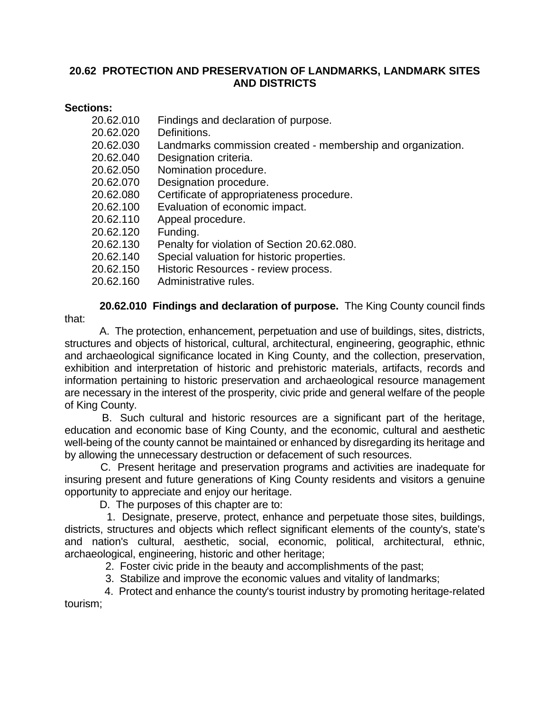# **20.62 PROTECTION AND PRESERVATION OF LANDMARKS, LANDMARK SITES AND DISTRICTS**

# **Sections:**

| 20.62.010 | Findings and declaration of purpose.                        |
|-----------|-------------------------------------------------------------|
| 20.62.020 | Definitions.                                                |
| 20.62.030 | Landmarks commission created - membership and organization. |
| 20.62.040 | Designation criteria.                                       |
| 20.62.050 | Nomination procedure.                                       |
| 20.62.070 | Designation procedure.                                      |
| 20.62.080 | Certificate of appropriateness procedure.                   |
| 20.62.100 | Evaluation of economic impact.                              |
| 20.62.110 | Appeal procedure.                                           |
| 20.62.120 | Funding.                                                    |
| 20.62.130 | Penalty for violation of Section 20.62.080.                 |
| 20.62.140 | Special valuation for historic properties.                  |
| 20.62.150 | Historic Resources - review process.                        |
| 20.62.160 | Administrative rules.                                       |
|           |                                                             |

 **20.62.010 Findings and declaration of purpose.** The King County council finds that:

 A. The protection, enhancement, perpetuation and use of buildings, sites, districts, structures and objects of historical, cultural, architectural, engineering, geographic, ethnic and archaeological significance located in King County, and the collection, preservation, exhibition and interpretation of historic and prehistoric materials, artifacts, records and information pertaining to historic preservation and archaeological resource management are necessary in the interest of the prosperity, civic pride and general welfare of the people of King County.

 B. Such cultural and historic resources are a significant part of the heritage, education and economic base of King County, and the economic, cultural and aesthetic well-being of the county cannot be maintained or enhanced by disregarding its heritage and by allowing the unnecessary destruction or defacement of such resources.

 C. Present heritage and preservation programs and activities are inadequate for insuring present and future generations of King County residents and visitors a genuine opportunity to appreciate and enjoy our heritage.

D. The purposes of this chapter are to:

 1. Designate, preserve, protect, enhance and perpetuate those sites, buildings, districts, structures and objects which reflect significant elements of the county's, state's and nation's cultural, aesthetic, social, economic, political, architectural, ethnic, archaeological, engineering, historic and other heritage;

2. Foster civic pride in the beauty and accomplishments of the past;

3. Stabilize and improve the economic values and vitality of landmarks;

 4. Protect and enhance the county's tourist industry by promoting heritage-related tourism;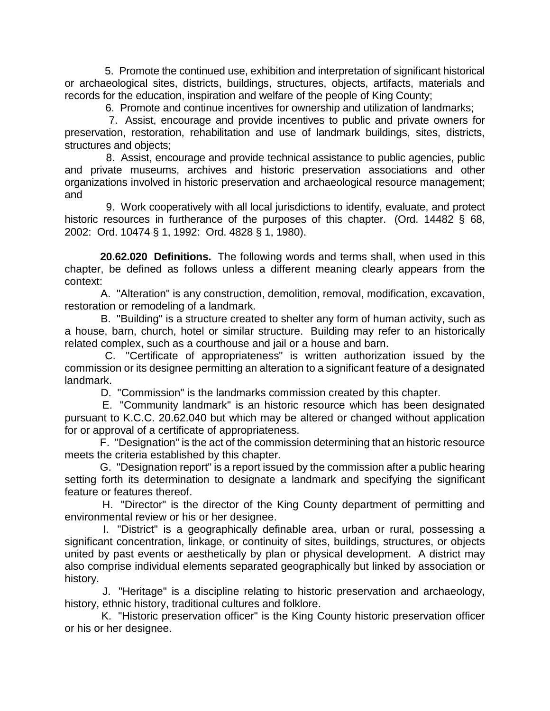5. Promote the continued use, exhibition and interpretation of significant historical or archaeological sites, districts, buildings, structures, objects, artifacts, materials and records for the education, inspiration and welfare of the people of King County;

6. Promote and continue incentives for ownership and utilization of landmarks;

 7. Assist, encourage and provide incentives to public and private owners for preservation, restoration, rehabilitation and use of landmark buildings, sites, districts, structures and objects;

 8. Assist, encourage and provide technical assistance to public agencies, public and private museums, archives and historic preservation associations and other organizations involved in historic preservation and archaeological resource management; and

 9. Work cooperatively with all local jurisdictions to identify, evaluate, and protect historic resources in furtherance of the purposes of this chapter. (Ord. 14482 § 68, 2002: Ord. 10474 § 1, 1992: Ord. 4828 § 1, 1980).

 **20.62.020 Definitions.** The following words and terms shall, when used in this chapter, be defined as follows unless a different meaning clearly appears from the context:

 A. "Alteration" is any construction, demolition, removal, modification, excavation, restoration or remodeling of a landmark.

 B. "Building" is a structure created to shelter any form of human activity, such as a house, barn, church, hotel or similar structure. Building may refer to an historically related complex, such as a courthouse and jail or a house and barn.

 C. "Certificate of appropriateness" is written authorization issued by the commission or its designee permitting an alteration to a significant feature of a designated landmark.

D. "Commission" is the landmarks commission created by this chapter.

 E. "Community landmark" is an historic resource which has been designated pursuant to K.C.C. 20.62.040 but which may be altered or changed without application for or approval of a certificate of appropriateness.

 F. "Designation" is the act of the commission determining that an historic resource meets the criteria established by this chapter.

 G. "Designation report" is a report issued by the commission after a public hearing setting forth its determination to designate a landmark and specifying the significant feature or features thereof.

 H. "Director" is the director of the King County department of permitting and environmental review or his or her designee.

 I. "District" is a geographically definable area, urban or rural, possessing a significant concentration, linkage, or continuity of sites, buildings, structures, or objects united by past events or aesthetically by plan or physical development. A district may also comprise individual elements separated geographically but linked by association or history.

 J. "Heritage" is a discipline relating to historic preservation and archaeology, history, ethnic history, traditional cultures and folklore.

 K. "Historic preservation officer" is the King County historic preservation officer or his or her designee.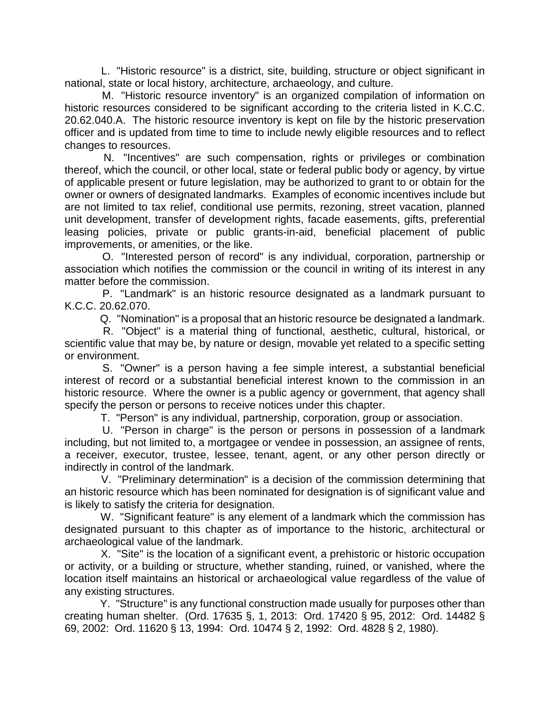L. "Historic resource" is a district, site, building, structure or object significant in national, state or local history, architecture, archaeology, and culture.

 M. "Historic resource inventory" is an organized compilation of information on historic resources considered to be significant according to the criteria listed in K.C.C. 20.62.040.A. The historic resource inventory is kept on file by the historic preservation officer and is updated from time to time to include newly eligible resources and to reflect changes to resources.

 N. "Incentives" are such compensation, rights or privileges or combination thereof, which the council, or other local, state or federal public body or agency, by virtue of applicable present or future legislation, may be authorized to grant to or obtain for the owner or owners of designated landmarks. Examples of economic incentives include but are not limited to tax relief, conditional use permits, rezoning, street vacation, planned unit development, transfer of development rights, facade easements, gifts, preferential leasing policies, private or public grants-in-aid, beneficial placement of public improvements, or amenities, or the like.

 O. "Interested person of record" is any individual, corporation, partnership or association which notifies the commission or the council in writing of its interest in any matter before the commission.

 P. "Landmark" is an historic resource designated as a landmark pursuant to K.C.C. 20.62.070.

Q. "Nomination" is a proposal that an historic resource be designated a landmark.

 R. "Object" is a material thing of functional, aesthetic, cultural, historical, or scientific value that may be, by nature or design, movable yet related to a specific setting or environment.

 S. "Owner" is a person having a fee simple interest, a substantial beneficial interest of record or a substantial beneficial interest known to the commission in an historic resource. Where the owner is a public agency or government, that agency shall specify the person or persons to receive notices under this chapter.

T. "Person" is any individual, partnership, corporation, group or association.

 U. "Person in charge" is the person or persons in possession of a landmark including, but not limited to, a mortgagee or vendee in possession, an assignee of rents, a receiver, executor, trustee, lessee, tenant, agent, or any other person directly or indirectly in control of the landmark.

 V. "Preliminary determination" is a decision of the commission determining that an historic resource which has been nominated for designation is of significant value and is likely to satisfy the criteria for designation.

 W. "Significant feature" is any element of a landmark which the commission has designated pursuant to this chapter as of importance to the historic, architectural or archaeological value of the landmark.

 X. "Site" is the location of a significant event, a prehistoric or historic occupation or activity, or a building or structure, whether standing, ruined, or vanished, where the location itself maintains an historical or archaeological value regardless of the value of any existing structures.

 Y. "Structure" is any functional construction made usually for purposes other than creating human shelter. (Ord. 17635 §, 1, 2013: Ord. 17420 § 95, 2012: Ord. 14482 § 69, 2002: Ord. 11620 § 13, 1994: Ord. 10474 § 2, 1992: Ord. 4828 § 2, 1980).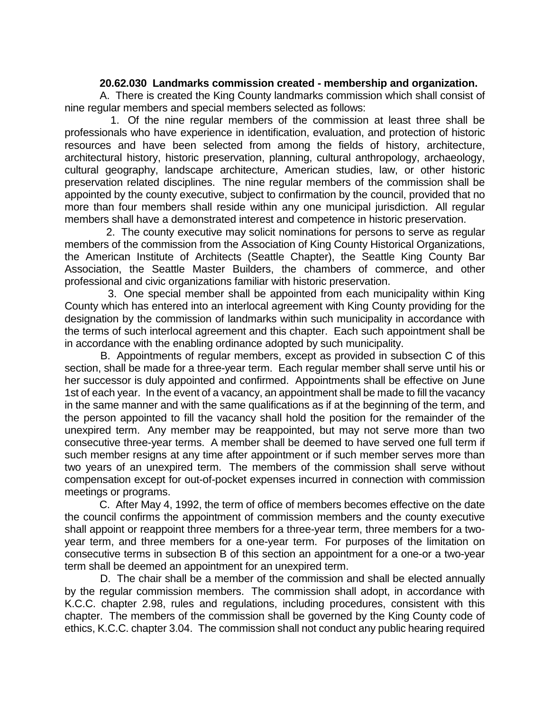### **20.62.030 Landmarks commission created - membership and organization.**

 A. There is created the King County landmarks commission which shall consist of nine regular members and special members selected as follows:

 1. Of the nine regular members of the commission at least three shall be professionals who have experience in identification, evaluation, and protection of historic resources and have been selected from among the fields of history, architecture, architectural history, historic preservation, planning, cultural anthropology, archaeology, cultural geography, landscape architecture, American studies, law, or other historic preservation related disciplines. The nine regular members of the commission shall be appointed by the county executive, subject to confirmation by the council, provided that no more than four members shall reside within any one municipal jurisdiction. All regular members shall have a demonstrated interest and competence in historic preservation.

 2. The county executive may solicit nominations for persons to serve as regular members of the commission from the Association of King County Historical Organizations, the American Institute of Architects (Seattle Chapter), the Seattle King County Bar Association, the Seattle Master Builders, the chambers of commerce, and other professional and civic organizations familiar with historic preservation.

 3. One special member shall be appointed from each municipality within King County which has entered into an interlocal agreement with King County providing for the designation by the commission of landmarks within such municipality in accordance with the terms of such interlocal agreement and this chapter. Each such appointment shall be in accordance with the enabling ordinance adopted by such municipality.

 B. Appointments of regular members, except as provided in subsection C of this section, shall be made for a three-year term. Each regular member shall serve until his or her successor is duly appointed and confirmed. Appointments shall be effective on June 1st of each year. In the event of a vacancy, an appointment shall be made to fill the vacancy in the same manner and with the same qualifications as if at the beginning of the term, and the person appointed to fill the vacancy shall hold the position for the remainder of the unexpired term. Any member may be reappointed, but may not serve more than two consecutive three-year terms. A member shall be deemed to have served one full term if such member resigns at any time after appointment or if such member serves more than two years of an unexpired term. The members of the commission shall serve without compensation except for out-of-pocket expenses incurred in connection with commission meetings or programs.

 C. After May 4, 1992, the term of office of members becomes effective on the date the council confirms the appointment of commission members and the county executive shall appoint or reappoint three members for a three-year term, three members for a twoyear term, and three members for a one-year term. For purposes of the limitation on consecutive terms in subsection B of this section an appointment for a one-or a two-year term shall be deemed an appointment for an unexpired term.

 D. The chair shall be a member of the commission and shall be elected annually by the regular commission members. The commission shall adopt, in accordance with K.C.C. chapter 2.98, rules and regulations, including procedures, consistent with this chapter. The members of the commission shall be governed by the King County code of ethics, K.C.C. chapter 3.04. The commission shall not conduct any public hearing required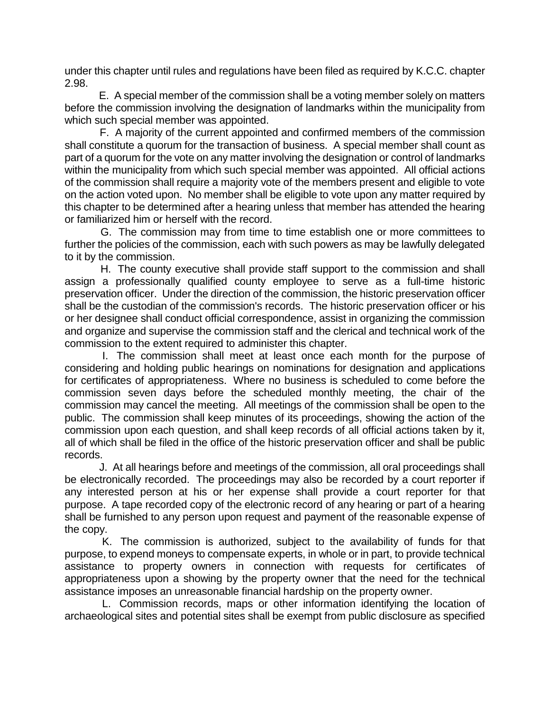under this chapter until rules and regulations have been filed as required by K.C.C. chapter 2.98.

 E. A special member of the commission shall be a voting member solely on matters before the commission involving the designation of landmarks within the municipality from which such special member was appointed.

 F. A majority of the current appointed and confirmed members of the commission shall constitute a quorum for the transaction of business. A special member shall count as part of a quorum for the vote on any matter involving the designation or control of landmarks within the municipality from which such special member was appointed. All official actions of the commission shall require a majority vote of the members present and eligible to vote on the action voted upon. No member shall be eligible to vote upon any matter required by this chapter to be determined after a hearing unless that member has attended the hearing or familiarized him or herself with the record.

 G. The commission may from time to time establish one or more committees to further the policies of the commission, each with such powers as may be lawfully delegated to it by the commission.

 H. The county executive shall provide staff support to the commission and shall assign a professionally qualified county employee to serve as a full-time historic preservation officer. Under the direction of the commission, the historic preservation officer shall be the custodian of the commission's records. The historic preservation officer or his or her designee shall conduct official correspondence, assist in organizing the commission and organize and supervise the commission staff and the clerical and technical work of the commission to the extent required to administer this chapter.

 I. The commission shall meet at least once each month for the purpose of considering and holding public hearings on nominations for designation and applications for certificates of appropriateness. Where no business is scheduled to come before the commission seven days before the scheduled monthly meeting, the chair of the commission may cancel the meeting. All meetings of the commission shall be open to the public. The commission shall keep minutes of its proceedings, showing the action of the commission upon each question, and shall keep records of all official actions taken by it, all of which shall be filed in the office of the historic preservation officer and shall be public records.

 J. At all hearings before and meetings of the commission, all oral proceedings shall be electronically recorded. The proceedings may also be recorded by a court reporter if any interested person at his or her expense shall provide a court reporter for that purpose. A tape recorded copy of the electronic record of any hearing or part of a hearing shall be furnished to any person upon request and payment of the reasonable expense of the copy.

 K. The commission is authorized, subject to the availability of funds for that purpose, to expend moneys to compensate experts, in whole or in part, to provide technical assistance to property owners in connection with requests for certificates of appropriateness upon a showing by the property owner that the need for the technical assistance imposes an unreasonable financial hardship on the property owner.

 L. Commission records, maps or other information identifying the location of archaeological sites and potential sites shall be exempt from public disclosure as specified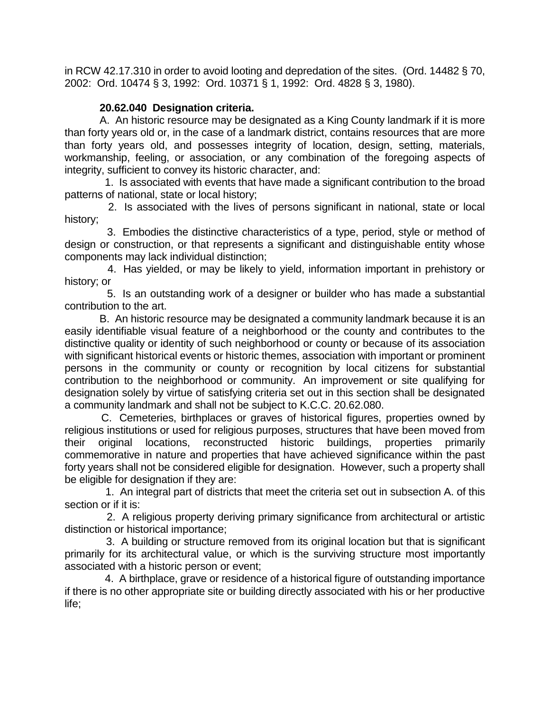in RCW 42.17.310 in order to avoid looting and depredation of the sites. (Ord. 14482 § 70, 2002: Ord. 10474 § 3, 1992: Ord. 10371 § 1, 1992: Ord. 4828 § 3, 1980).

# **20.62.040 Designation criteria.**

 A. An historic resource may be designated as a King County landmark if it is more than forty years old or, in the case of a landmark district, contains resources that are more than forty years old, and possesses integrity of location, design, setting, materials, workmanship, feeling, or association, or any combination of the foregoing aspects of integrity, sufficient to convey its historic character, and:

 1. Is associated with events that have made a significant contribution to the broad patterns of national, state or local history;

 2. Is associated with the lives of persons significant in national, state or local history;

 3. Embodies the distinctive characteristics of a type, period, style or method of design or construction, or that represents a significant and distinguishable entity whose components may lack individual distinction;

 4. Has yielded, or may be likely to yield, information important in prehistory or history; or

 5. Is an outstanding work of a designer or builder who has made a substantial contribution to the art.

 B. An historic resource may be designated a community landmark because it is an easily identifiable visual feature of a neighborhood or the county and contributes to the distinctive quality or identity of such neighborhood or county or because of its association with significant historical events or historic themes, association with important or prominent persons in the community or county or recognition by local citizens for substantial contribution to the neighborhood or community. An improvement or site qualifying for designation solely by virtue of satisfying criteria set out in this section shall be designated a community landmark and shall not be subject to K.C.C. 20.62.080.

 C. Cemeteries, birthplaces or graves of historical figures, properties owned by religious institutions or used for religious purposes, structures that have been moved from their original locations, reconstructed historic buildings, properties primarily commemorative in nature and properties that have achieved significance within the past forty years shall not be considered eligible for designation. However, such a property shall be eligible for designation if they are:

 1. An integral part of districts that meet the criteria set out in subsection A. of this section or if it is:

 2. A religious property deriving primary significance from architectural or artistic distinction or historical importance;

 3. A building or structure removed from its original location but that is significant primarily for its architectural value, or which is the surviving structure most importantly associated with a historic person or event;

 4. A birthplace, grave or residence of a historical figure of outstanding importance if there is no other appropriate site or building directly associated with his or her productive life;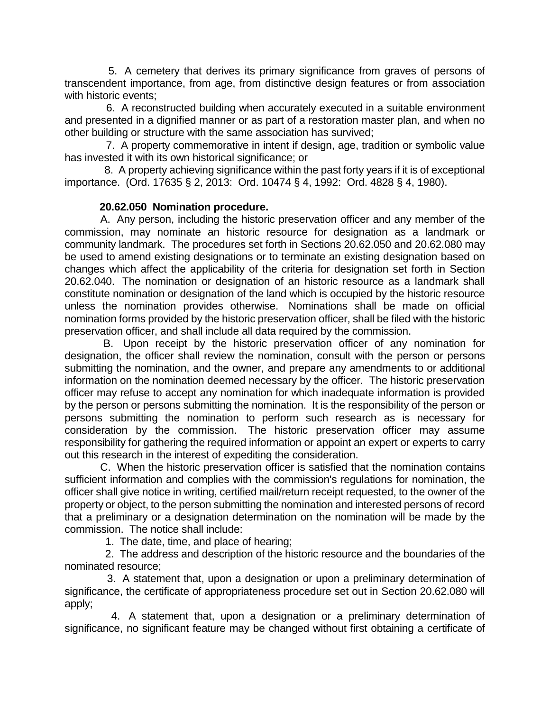5. A cemetery that derives its primary significance from graves of persons of transcendent importance, from age, from distinctive design features or from association with historic events;

 6. A reconstructed building when accurately executed in a suitable environment and presented in a dignified manner or as part of a restoration master plan, and when no other building or structure with the same association has survived;

 7. A property commemorative in intent if design, age, tradition or symbolic value has invested it with its own historical significance; or

 8. A property achieving significance within the past forty years if it is of exceptional importance. (Ord. 17635 § 2, 2013: Ord. 10474 § 4, 1992: Ord. 4828 § 4, 1980).

## **20.62.050 Nomination procedure.**

 A. Any person, including the historic preservation officer and any member of the commission, may nominate an historic resource for designation as a landmark or community landmark. The procedures set forth in Sections 20.62.050 and 20.62.080 may be used to amend existing designations or to terminate an existing designation based on changes which affect the applicability of the criteria for designation set forth in Section 20.62.040. The nomination or designation of an historic resource as a landmark shall constitute nomination or designation of the land which is occupied by the historic resource unless the nomination provides otherwise. Nominations shall be made on official nomination forms provided by the historic preservation officer, shall be filed with the historic preservation officer, and shall include all data required by the commission.

 B. Upon receipt by the historic preservation officer of any nomination for designation, the officer shall review the nomination, consult with the person or persons submitting the nomination, and the owner, and prepare any amendments to or additional information on the nomination deemed necessary by the officer. The historic preservation officer may refuse to accept any nomination for which inadequate information is provided by the person or persons submitting the nomination. It is the responsibility of the person or persons submitting the nomination to perform such research as is necessary for consideration by the commission. The historic preservation officer may assume responsibility for gathering the required information or appoint an expert or experts to carry out this research in the interest of expediting the consideration.

 C. When the historic preservation officer is satisfied that the nomination contains sufficient information and complies with the commission's regulations for nomination, the officer shall give notice in writing, certified mail/return receipt requested, to the owner of the property or object, to the person submitting the nomination and interested persons of record that a preliminary or a designation determination on the nomination will be made by the commission. The notice shall include:

1. The date, time, and place of hearing;

 2. The address and description of the historic resource and the boundaries of the nominated resource;

 3. A statement that, upon a designation or upon a preliminary determination of significance, the certificate of appropriateness procedure set out in Section 20.62.080 will apply;

 4. A statement that, upon a designation or a preliminary determination of significance, no significant feature may be changed without first obtaining a certificate of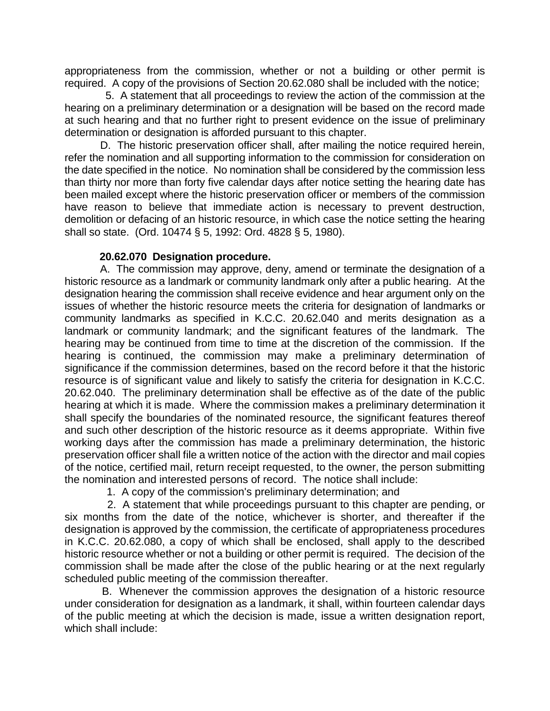appropriateness from the commission, whether or not a building or other permit is required. A copy of the provisions of Section 20.62.080 shall be included with the notice;

 5. A statement that all proceedings to review the action of the commission at the hearing on a preliminary determination or a designation will be based on the record made at such hearing and that no further right to present evidence on the issue of preliminary determination or designation is afforded pursuant to this chapter.

 D. The historic preservation officer shall, after mailing the notice required herein, refer the nomination and all supporting information to the commission for consideration on the date specified in the notice. No nomination shall be considered by the commission less than thirty nor more than forty five calendar days after notice setting the hearing date has been mailed except where the historic preservation officer or members of the commission have reason to believe that immediate action is necessary to prevent destruction, demolition or defacing of an historic resource, in which case the notice setting the hearing shall so state. (Ord. 10474 § 5, 1992: Ord. 4828 § 5, 1980).

## **20.62.070 Designation procedure.**

A. The commission may approve, deny, amend or terminate the designation of a historic resource as a landmark or community landmark only after a public hearing. At the designation hearing the commission shall receive evidence and hear argument only on the issues of whether the historic resource meets the criteria for designation of landmarks or community landmarks as specified in K.C.C. 20.62.040 and merits designation as a landmark or community landmark; and the significant features of the landmark. The hearing may be continued from time to time at the discretion of the commission. If the hearing is continued, the commission may make a preliminary determination of significance if the commission determines, based on the record before it that the historic resource is of significant value and likely to satisfy the criteria for designation in K.C.C. 20.62.040. The preliminary determination shall be effective as of the date of the public hearing at which it is made. Where the commission makes a preliminary determination it shall specify the boundaries of the nominated resource, the significant features thereof and such other description of the historic resource as it deems appropriate. Within five working days after the commission has made a preliminary determination, the historic preservation officer shall file a written notice of the action with the director and mail copies of the notice, certified mail, return receipt requested, to the owner, the person submitting the nomination and interested persons of record. The notice shall include:

1. A copy of the commission's preliminary determination; and

 2. A statement that while proceedings pursuant to this chapter are pending, or six months from the date of the notice, whichever is shorter, and thereafter if the designation is approved by the commission, the certificate of appropriateness procedures in K.C.C. 20.62.080, a copy of which shall be enclosed, shall apply to the described historic resource whether or not a building or other permit is required. The decision of the commission shall be made after the close of the public hearing or at the next regularly scheduled public meeting of the commission thereafter.

 B. Whenever the commission approves the designation of a historic resource under consideration for designation as a landmark, it shall, within fourteen calendar days of the public meeting at which the decision is made, issue a written designation report, which shall include: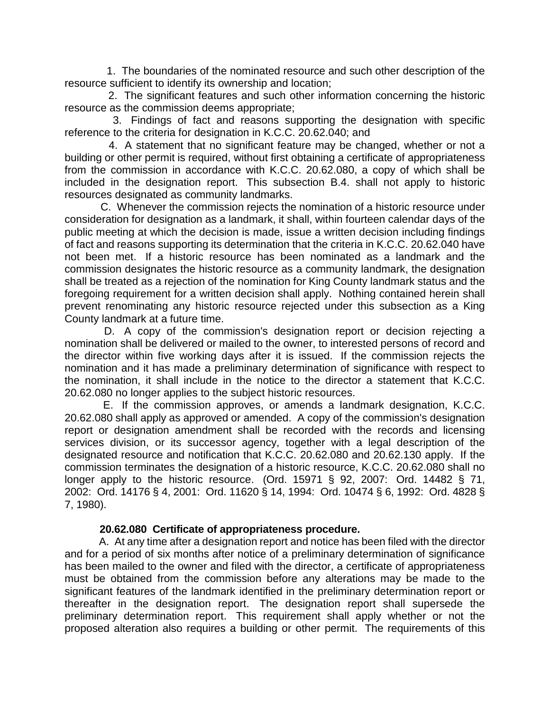1. The boundaries of the nominated resource and such other description of the resource sufficient to identify its ownership and location;

 2. The significant features and such other information concerning the historic resource as the commission deems appropriate;

 3. Findings of fact and reasons supporting the designation with specific reference to the criteria for designation in K.C.C. 20.62.040; and

 4. A statement that no significant feature may be changed, whether or not a building or other permit is required, without first obtaining a certificate of appropriateness from the commission in accordance with K.C.C. 20.62.080, a copy of which shall be included in the designation report. This subsection B.4. shall not apply to historic resources designated as community landmarks.

 C. Whenever the commission rejects the nomination of a historic resource under consideration for designation as a landmark, it shall, within fourteen calendar days of the public meeting at which the decision is made, issue a written decision including findings of fact and reasons supporting its determination that the criteria in K.C.C. 20.62.040 have not been met. If a historic resource has been nominated as a landmark and the commission designates the historic resource as a community landmark, the designation shall be treated as a rejection of the nomination for King County landmark status and the foregoing requirement for a written decision shall apply. Nothing contained herein shall prevent renominating any historic resource rejected under this subsection as a King County landmark at a future time.

 D. A copy of the commission's designation report or decision rejecting a nomination shall be delivered or mailed to the owner, to interested persons of record and the director within five working days after it is issued. If the commission rejects the nomination and it has made a preliminary determination of significance with respect to the nomination, it shall include in the notice to the director a statement that K.C.C. 20.62.080 no longer applies to the subject historic resources.

 E. If the commission approves, or amends a landmark designation, K.C.C. 20.62.080 shall apply as approved or amended. A copy of the commission's designation report or designation amendment shall be recorded with the records and licensing services division, or its successor agency, together with a legal description of the designated resource and notification that K.C.C. 20.62.080 and 20.62.130 apply. If the commission terminates the designation of a historic resource, K.C.C. 20.62.080 shall no longer apply to the historic resource. (Ord. 15971 § 92, 2007: Ord. 14482 § 71, 2002: Ord. 14176 § 4, 2001: Ord. 11620 § 14, 1994: Ord. 10474 § 6, 1992: Ord. 4828 § 7, 1980).

#### **20.62.080 Certificate of appropriateness procedure.**

 A. At any time after a designation report and notice has been filed with the director and for a period of six months after notice of a preliminary determination of significance has been mailed to the owner and filed with the director, a certificate of appropriateness must be obtained from the commission before any alterations may be made to the significant features of the landmark identified in the preliminary determination report or thereafter in the designation report. The designation report shall supersede the preliminary determination report. This requirement shall apply whether or not the proposed alteration also requires a building or other permit. The requirements of this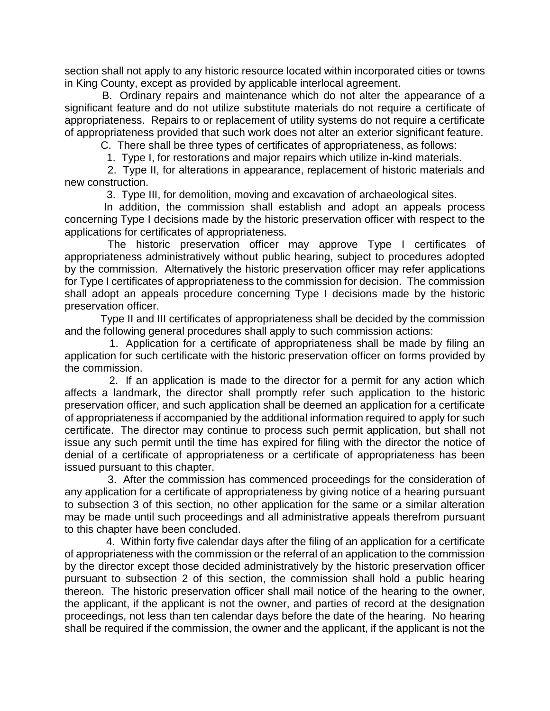section shall not apply to any historic resource located within incorporated cities or towns in King County, except as provided by applicable interlocal agreement.

 B. Ordinary repairs and maintenance which do not alter the appearance of a significant feature and do not utilize substitute materials do not require a certificate of appropriateness. Repairs to or replacement of utility systems do not require a certificate of appropriateness provided that such work does not alter an exterior significant feature.

C. There shall be three types of certificates of appropriateness, as follows:

1. Type I, for restorations and major repairs which utilize in-kind materials.

 2. Type II, for alterations in appearance, replacement of historic materials and new construction.

3. Type III, for demolition, moving and excavation of archaeological sites.

 In addition, the commission shall establish and adopt an appeals process concerning Type I decisions made by the historic preservation officer with respect to the applications for certificates of appropriateness.

 The historic preservation officer may approve Type I certificates of appropriateness administratively without public hearing, subject to procedures adopted by the commission. Alternatively the historic preservation officer may refer applications for Type I certificates of appropriateness to the commission for decision. The commission shall adopt an appeals procedure concerning Type I decisions made by the historic preservation officer.

 Type II and III certificates of appropriateness shall be decided by the commission and the following general procedures shall apply to such commission actions:

 1. Application for a certificate of appropriateness shall be made by filing an application for such certificate with the historic preservation officer on forms provided by the commission.

 2. If an application is made to the director for a permit for any action which affects a landmark, the director shall promptly refer such application to the historic preservation officer, and such application shall be deemed an application for a certificate of appropriateness if accompanied by the additional information required to apply for such certificate. The director may continue to process such permit application, but shall not issue any such permit until the time has expired for filing with the director the notice of denial of a certificate of appropriateness or a certificate of appropriateness has been issued pursuant to this chapter.

 3. After the commission has commenced proceedings for the consideration of any application for a certificate of appropriateness by giving notice of a hearing pursuant to subsection 3 of this section, no other application for the same or a similar alteration may be made until such proceedings and all administrative appeals therefrom pursuant to this chapter have been concluded.

 4. Within forty five calendar days after the filing of an application for a certificate of appropriateness with the commission or the referral of an application to the commission by the director except those decided administratively by the historic preservation officer pursuant to subsection 2 of this section, the commission shall hold a public hearing thereon. The historic preservation officer shall mail notice of the hearing to the owner, the applicant, if the applicant is not the owner, and parties of record at the designation proceedings, not less than ten calendar days before the date of the hearing. No hearing shall be required if the commission, the owner and the applicant, if the applicant is not the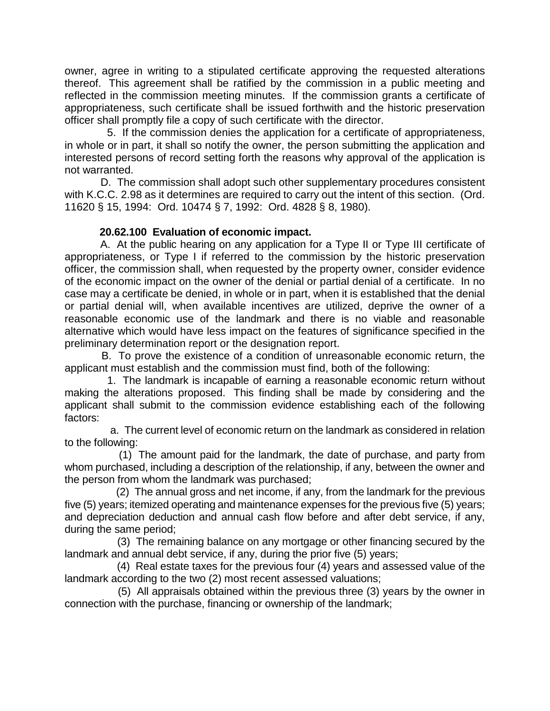owner, agree in writing to a stipulated certificate approving the requested alterations thereof. This agreement shall be ratified by the commission in a public meeting and reflected in the commission meeting minutes. If the commission grants a certificate of appropriateness, such certificate shall be issued forthwith and the historic preservation officer shall promptly file a copy of such certificate with the director.

 5. If the commission denies the application for a certificate of appropriateness, in whole or in part, it shall so notify the owner, the person submitting the application and interested persons of record setting forth the reasons why approval of the application is not warranted.

 D. The commission shall adopt such other supplementary procedures consistent with K.C.C. 2.98 as it determines are required to carry out the intent of this section. (Ord. 11620 § 15, 1994: Ord. 10474 § 7, 1992: Ord. 4828 § 8, 1980).

# **20.62.100 Evaluation of economic impact.**

 A. At the public hearing on any application for a Type II or Type III certificate of appropriateness, or Type I if referred to the commission by the historic preservation officer, the commission shall, when requested by the property owner, consider evidence of the economic impact on the owner of the denial or partial denial of a certificate. In no case may a certificate be denied, in whole or in part, when it is established that the denial or partial denial will, when available incentives are utilized, deprive the owner of a reasonable economic use of the landmark and there is no viable and reasonable alternative which would have less impact on the features of significance specified in the preliminary determination report or the designation report.

 B. To prove the existence of a condition of unreasonable economic return, the applicant must establish and the commission must find, both of the following:

 1. The landmark is incapable of earning a reasonable economic return without making the alterations proposed. This finding shall be made by considering and the applicant shall submit to the commission evidence establishing each of the following factors:

 a. The current level of economic return on the landmark as considered in relation to the following:

 (1) The amount paid for the landmark, the date of purchase, and party from whom purchased, including a description of the relationship, if any, between the owner and the person from whom the landmark was purchased;

 (2) The annual gross and net income, if any, from the landmark for the previous five (5) years; itemized operating and maintenance expenses for the previous five (5) years; and depreciation deduction and annual cash flow before and after debt service, if any, during the same period;

 (3) The remaining balance on any mortgage or other financing secured by the landmark and annual debt service, if any, during the prior five (5) years;

 (4) Real estate taxes for the previous four (4) years and assessed value of the landmark according to the two (2) most recent assessed valuations;

 (5) All appraisals obtained within the previous three (3) years by the owner in connection with the purchase, financing or ownership of the landmark;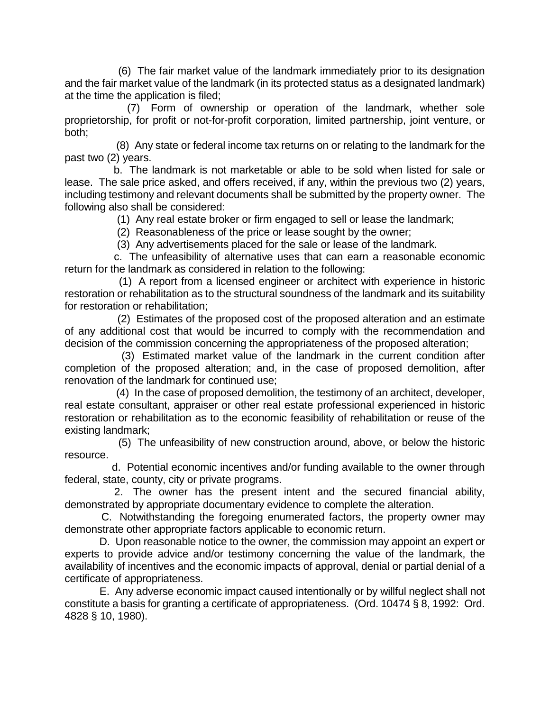(6) The fair market value of the landmark immediately prior to its designation and the fair market value of the landmark (in its protected status as a designated landmark) at the time the application is filed;

 (7) Form of ownership or operation of the landmark, whether sole proprietorship, for profit or not-for-profit corporation, limited partnership, joint venture, or both;

 (8) Any state or federal income tax returns on or relating to the landmark for the past two (2) years.

 b. The landmark is not marketable or able to be sold when listed for sale or lease. The sale price asked, and offers received, if any, within the previous two (2) years, including testimony and relevant documents shall be submitted by the property owner. The following also shall be considered:

(1) Any real estate broker or firm engaged to sell or lease the landmark;

(2) Reasonableness of the price or lease sought by the owner;

(3) Any advertisements placed for the sale or lease of the landmark.

 c. The unfeasibility of alternative uses that can earn a reasonable economic return for the landmark as considered in relation to the following:

 (1) A report from a licensed engineer or architect with experience in historic restoration or rehabilitation as to the structural soundness of the landmark and its suitability for restoration or rehabilitation;

 (2) Estimates of the proposed cost of the proposed alteration and an estimate of any additional cost that would be incurred to comply with the recommendation and decision of the commission concerning the appropriateness of the proposed alteration;

 (3) Estimated market value of the landmark in the current condition after completion of the proposed alteration; and, in the case of proposed demolition, after renovation of the landmark for continued use;

 (4) In the case of proposed demolition, the testimony of an architect, developer, real estate consultant, appraiser or other real estate professional experienced in historic restoration or rehabilitation as to the economic feasibility of rehabilitation or reuse of the existing landmark;

 (5) The unfeasibility of new construction around, above, or below the historic resource.

 d. Potential economic incentives and/or funding available to the owner through federal, state, county, city or private programs.

 2. The owner has the present intent and the secured financial ability, demonstrated by appropriate documentary evidence to complete the alteration.

 C. Notwithstanding the foregoing enumerated factors, the property owner may demonstrate other appropriate factors applicable to economic return.

 D. Upon reasonable notice to the owner, the commission may appoint an expert or experts to provide advice and/or testimony concerning the value of the landmark, the availability of incentives and the economic impacts of approval, denial or partial denial of a certificate of appropriateness.

 E. Any adverse economic impact caused intentionally or by willful neglect shall not constitute a basis for granting a certificate of appropriateness. (Ord. 10474 § 8, 1992: Ord. 4828 § 10, 1980).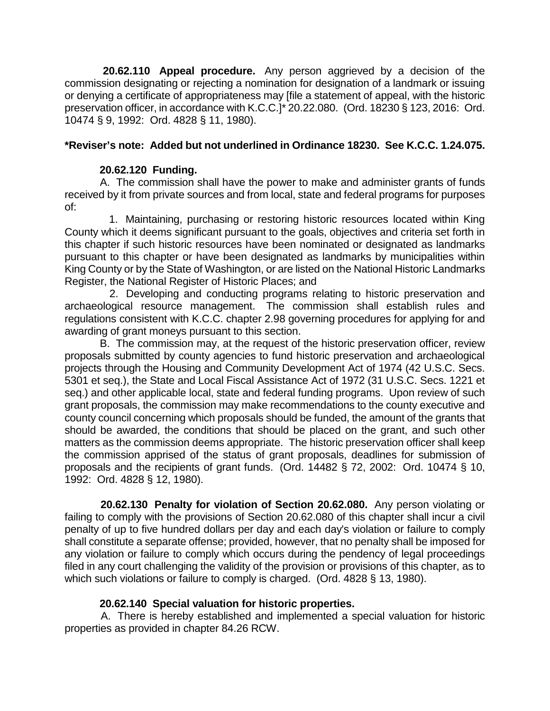**20.62.110 Appeal procedure.** Any person aggrieved by a decision of the commission designating or rejecting a nomination for designation of a landmark or issuing or denying a certificate of appropriateness may [file a statement of appeal, with the historic preservation officer, in accordance with K.C.C.]\* 20.22.080. (Ord. 18230 § 123, 2016: Ord. 10474 § 9, 1992: Ord. 4828 § 11, 1980).

# **\*Reviser's note: Added but not underlined in Ordinance 18230. See K.C.C. 1.24.075.**

# **20.62.120 Funding.**

 A. The commission shall have the power to make and administer grants of funds received by it from private sources and from local, state and federal programs for purposes of:

 1. Maintaining, purchasing or restoring historic resources located within King County which it deems significant pursuant to the goals, objectives and criteria set forth in this chapter if such historic resources have been nominated or designated as landmarks pursuant to this chapter or have been designated as landmarks by municipalities within King County or by the State of Washington, or are listed on the National Historic Landmarks Register, the National Register of Historic Places; and

 2. Developing and conducting programs relating to historic preservation and archaeological resource management. The commission shall establish rules and regulations consistent with K.C.C. chapter 2.98 governing procedures for applying for and awarding of grant moneys pursuant to this section.

 B. The commission may, at the request of the historic preservation officer, review proposals submitted by county agencies to fund historic preservation and archaeological projects through the Housing and Community Development Act of 1974 (42 U.S.C. Secs. 5301 et seq.), the State and Local Fiscal Assistance Act of 1972 (31 U.S.C. Secs. 1221 et seq.) and other applicable local, state and federal funding programs. Upon review of such grant proposals, the commission may make recommendations to the county executive and county council concerning which proposals should be funded, the amount of the grants that should be awarded, the conditions that should be placed on the grant, and such other matters as the commission deems appropriate. The historic preservation officer shall keep the commission apprised of the status of grant proposals, deadlines for submission of proposals and the recipients of grant funds. (Ord. 14482 § 72, 2002: Ord. 10474 § 10, 1992: Ord. 4828 § 12, 1980).

 **20.62.130 Penalty for violation of Section 20.62.080.** Any person violating or failing to comply with the provisions of Section 20.62.080 of this chapter shall incur a civil penalty of up to five hundred dollars per day and each day's violation or failure to comply shall constitute a separate offense; provided, however, that no penalty shall be imposed for any violation or failure to comply which occurs during the pendency of legal proceedings filed in any court challenging the validity of the provision or provisions of this chapter, as to which such violations or failure to comply is charged. (Ord. 4828 § 13, 1980).

## **20.62.140 Special valuation for historic properties.**

 A. There is hereby established and implemented a special valuation for historic properties as provided in chapter 84.26 RCW.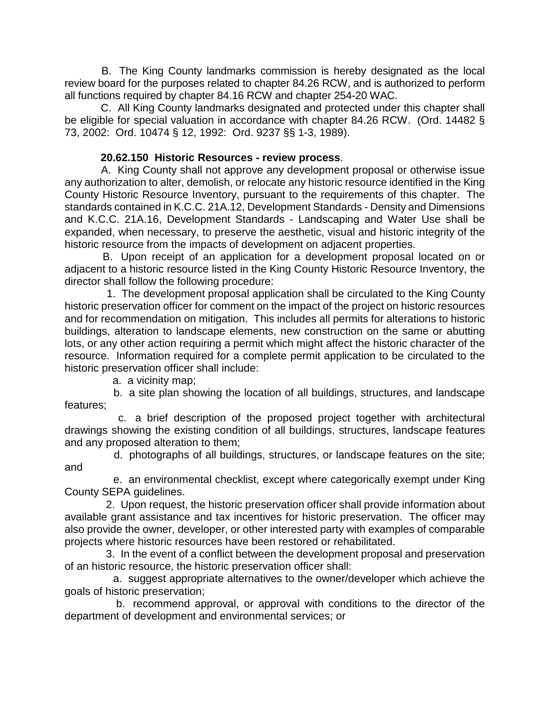B. The King County landmarks commission is hereby designated as the local review board for the purposes related to chapter 84.26 RCW, and is authorized to perform all functions required by chapter 84.16 RCW and chapter 254-20 WAC.

 C. All King County landmarks designated and protected under this chapter shall be eligible for special valuation in accordance with chapter 84.26 RCW. (Ord. 14482 § 73, 2002: Ord. 10474 § 12, 1992: Ord. 9237 §§ 1-3, 1989).

# **20.62.150 Historic Resources - review process**.

 A. King County shall not approve any development proposal or otherwise issue any authorization to alter, demolish, or relocate any historic resource identified in the King County Historic Resource Inventory, pursuant to the requirements of this chapter. The standards contained in K.C.C. 21A.12, Development Standards - Density and Dimensions and K.C.C. 21A.16, Development Standards - Landscaping and Water Use shall be expanded, when necessary, to preserve the aesthetic, visual and historic integrity of the historic resource from the impacts of development on adjacent properties.

 B. Upon receipt of an application for a development proposal located on or adjacent to a historic resource listed in the King County Historic Resource Inventory, the director shall follow the following procedure:

 1. The development proposal application shall be circulated to the King County historic preservation officer for comment on the impact of the project on historic resources and for recommendation on mitigation. This includes all permits for alterations to historic buildings, alteration to landscape elements, new construction on the same or abutting lots, or any other action requiring a permit which might affect the historic character of the resource. Information required for a complete permit application to be circulated to the historic preservation officer shall include:

a. a vicinity map;

 b. a site plan showing the location of all buildings, structures, and landscape features;

 c. a brief description of the proposed project together with architectural drawings showing the existing condition of all buildings, structures, landscape features and any proposed alteration to them;

 d. photographs of all buildings, structures, or landscape features on the site; and

 e. an environmental checklist, except where categorically exempt under King County SEPA guidelines.

 2. Upon request, the historic preservation officer shall provide information about available grant assistance and tax incentives for historic preservation. The officer may also provide the owner, developer, or other interested party with examples of comparable projects where historic resources have been restored or rehabilitated.

 3. In the event of a conflict between the development proposal and preservation of an historic resource, the historic preservation officer shall:

 a. suggest appropriate alternatives to the owner/developer which achieve the goals of historic preservation;

 b. recommend approval, or approval with conditions to the director of the department of development and environmental services; or